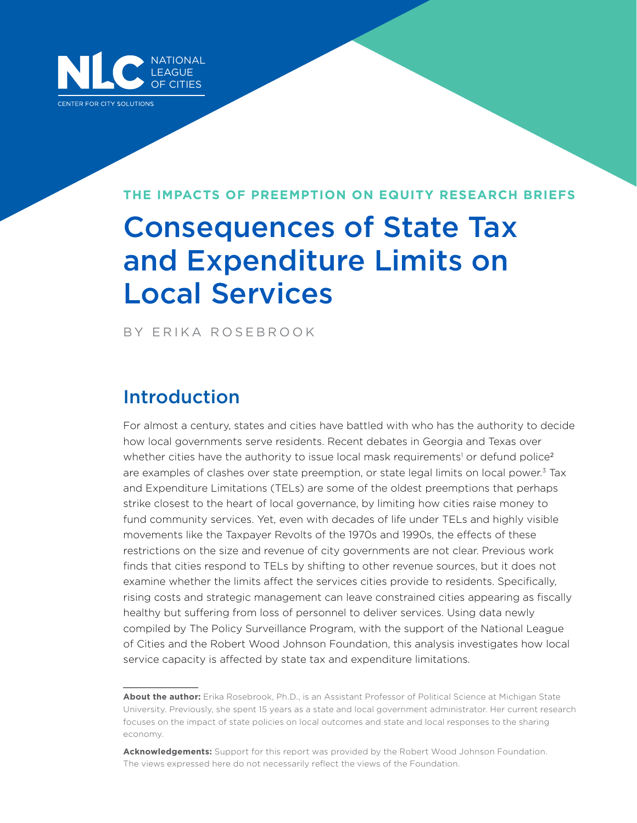

#### **THE IMPACTS OF PREEMPTION ON EQUITY RESEARCH BRIEFS**

# Consequences of State Tax and Expenditure Limits on Local Services

BY ERIKA ROSEBROOK

## Introduction

For almost a century, states and cities have battled with who has the authority to decide how local governments serve residents. Recent debates in Georgia and Texas over whether cities have the authority to issue local mask requirements<sup>1</sup> or defund police<sup>2</sup> are examples of clashes over state preemption, or state legal limits on local power.<sup>3</sup> Tax and Expenditure Limitations (TELs) are some of the oldest preemptions that perhaps strike closest to the heart of local governance, by limiting how cities raise money to fund community services. Yet, even with decades of life under TELs and highly visible movements like the Taxpayer Revolts of the 1970s and 1990s, the effects of these restrictions on the size and revenue of city governments are not clear. Previous work finds that cities respond to TELs by shifting to other revenue sources, but it does not examine whether the limits affect the services cities provide to residents. Specifically, rising costs and strategic management can leave constrained cities appearing as fiscally healthy but suffering from loss of personnel to deliver services. Using data newly compiled by The Policy Surveillance Program, with the support of the National League of Cities and the Robert Wood Johnson Foundation, this analysis investigates how local service capacity is affected by state tax and expenditure limitations.

**About the author:** Erika Rosebrook, Ph.D., is an Assistant Professor of Political Science at Michigan State University. Previously, she spent 15 years as a state and local government administrator. Her current research focuses on the impact of state policies on local outcomes and state and local responses to the sharing economy.

**Acknowledgements:** Support for this report was provided by the Robert Wood Johnson Foundation. The views expressed here do not necessarily reflect the views of the Foundation.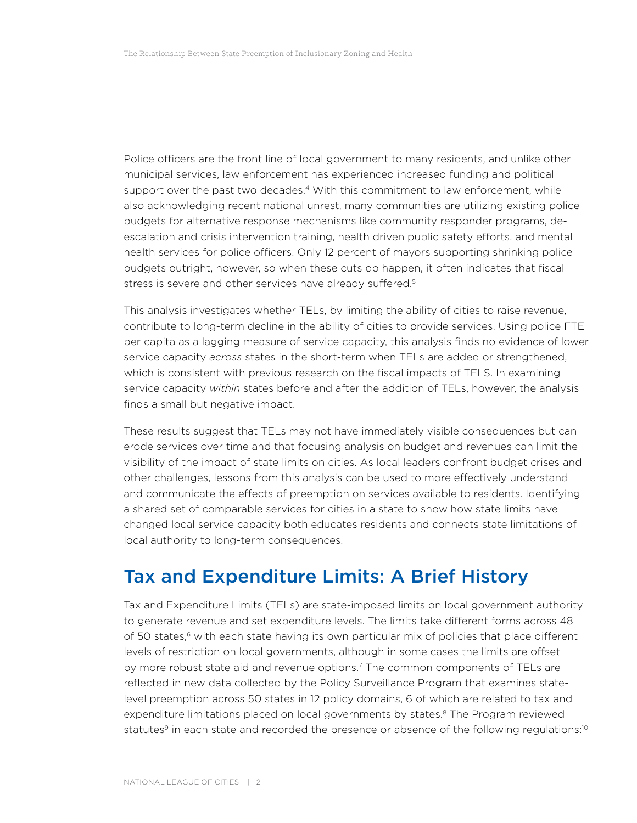Police officers are the front line of local government to many residents, and unlike other municipal services, law enforcement has experienced increased funding and political support over the past two decades.<sup>4</sup> With this commitment to law enforcement, while also acknowledging recent national unrest, many communities are utilizing existing police budgets for alternative response mechanisms like community responder programs, deescalation and crisis intervention training, health driven public safety efforts, and mental health services for police officers. Only 12 percent of mayors supporting shrinking police budgets outright, however, so when these cuts do happen, it often indicates that fiscal stress is severe and other services have already suffered.<sup>5</sup>

This analysis investigates whether TELs, by limiting the ability of cities to raise revenue, contribute to long-term decline in the ability of cities to provide services. Using police FTE per capita as a lagging measure of service capacity, this analysis finds no evidence of lower service capacity *across* states in the short-term when TELs are added or strengthened, which is consistent with previous research on the fiscal impacts of TELS. In examining service capacity *within* states before and after the addition of TELs, however, the analysis finds a small but negative impact.

These results suggest that TELs may not have immediately visible consequences but can erode services over time and that focusing analysis on budget and revenues can limit the visibility of the impact of state limits on cities. As local leaders confront budget crises and other challenges, lessons from this analysis can be used to more effectively understand and communicate the effects of preemption on services available to residents. Identifying a shared set of comparable services for cities in a state to show how state limits have changed local service capacity both educates residents and connects state limitations of local authority to long-term consequences.

### Tax and Expenditure Limits: A Brief History

Tax and Expenditure Limits (TELs) are state-imposed limits on local government authority to generate revenue and set expenditure levels. The limits take different forms across 48 of 50 states,<sup>6</sup> with each state having its own particular mix of policies that place different levels of restriction on local governments, although in some cases the limits are offset by more robust state aid and revenue options.<sup>7</sup> The common components of TELs are reflected in new data collected by the Policy Surveillance Program that examines statelevel preemption across 50 states in 12 policy domains, 6 of which are related to tax and expenditure limitations placed on local governments by states.<sup>8</sup> The Program reviewed statutes<sup>9</sup> in each state and recorded the presence or absence of the following regulations:<sup>10</sup>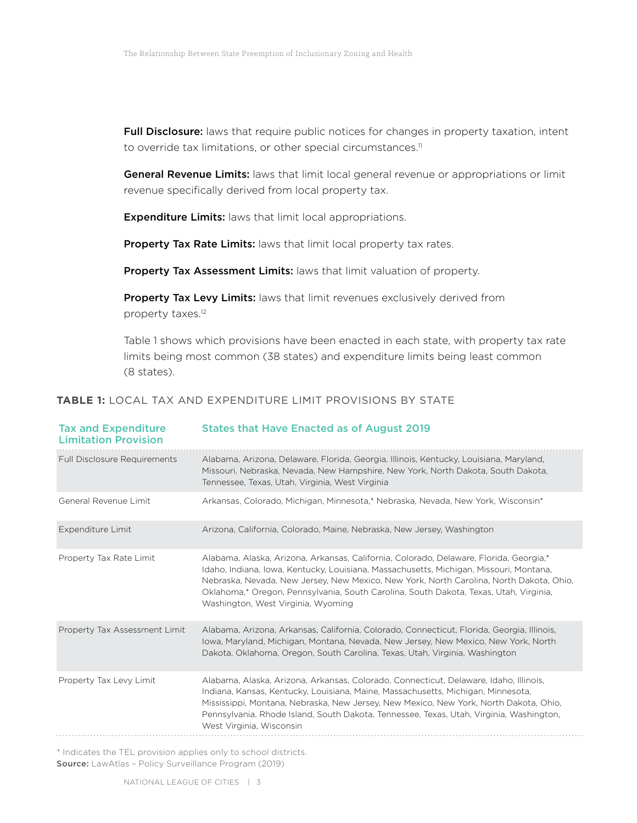Full Disclosure: laws that require public notices for changes in property taxation, intent to override tax limitations, or other special circumstances.<sup>11</sup>

General Revenue Limits: laws that limit local general revenue or appropriations or limit revenue specifically derived from local property tax.

**Expenditure Limits:** laws that limit local appropriations.

Property Tax Rate Limits: laws that limit local property tax rates.

Property Tax Assessment Limits: laws that limit valuation of property.

Property Tax Levy Limits: laws that limit revenues exclusively derived from property taxes.12

Table 1 shows which provisions have been enacted in each state, with property tax rate limits being most common (38 states) and expenditure limits being least common (8 states).

| <b>TABLE 1:</b> LOCAL TAX AND EXPENDITURE LIMIT PROVISIONS BY STATE |  |
|---------------------------------------------------------------------|--|
|---------------------------------------------------------------------|--|

| <b>Tax and Expenditure</b><br><b>Limitation Provision</b> | <b>States that Have Enacted as of August 2019</b>                                                                                                                                                                                                                                                                                                                                                          |
|-----------------------------------------------------------|------------------------------------------------------------------------------------------------------------------------------------------------------------------------------------------------------------------------------------------------------------------------------------------------------------------------------------------------------------------------------------------------------------|
| <b>Full Disclosure Requirements</b>                       | Alabama, Arizona, Delaware, Florida, Georgia, Illinois, Kentucky, Louisiana, Maryland,<br>Missouri, Nebraska, Nevada, New Hampshire, New York, North Dakota, South Dakota,<br>Tennessee, Texas, Utah, Virginia, West Virginia                                                                                                                                                                              |
| General Revenue Limit                                     | Arkansas, Colorado, Michigan, Minnesota,* Nebraska, Nevada, New York, Wisconsin*                                                                                                                                                                                                                                                                                                                           |
| Expenditure Limit                                         | Arizona, California, Colorado, Maine, Nebraska, New Jersey, Washington                                                                                                                                                                                                                                                                                                                                     |
| Property Tax Rate Limit                                   | Alabama, Alaska, Arizona, Arkansas, California, Colorado, Delaware, Florida, Georgia,*<br>Idaho, Indiana, Iowa, Kentucky, Louisiana, Massachusetts, Michigan, Missouri, Montana,<br>Nebraska, Nevada, New Jersey, New Mexico, New York, North Carolina, North Dakota, Ohio,<br>Oklahoma,* Oregon, Pennsylvania, South Carolina, South Dakota, Texas, Utah, Virginia,<br>Washington, West Virginia, Wyoming |
| Property Tax Assessment Limit                             | Alabama, Arizona, Arkansas, California, Colorado, Connecticut, Florida, Georgia, Illinois,<br>Jowa, Maryland, Michigan, Montana, Nevada, New Jersey, New Mexico, New York, North<br>Dakota, Oklahoma, Oregon, South Carolina, Texas, Utah, Virginia, Washington                                                                                                                                            |
| Property Tax Levy Limit                                   | Alabama, Alaska, Arizona, Arkansas, Colorado, Connecticut, Delaware, Idaho, Illinois,<br>Indiana, Kansas, Kentucky, Louisiana, Maine, Massachusetts, Michigan, Minnesota,<br>Mississippi, Montana, Nebraska, New Jersey, New Mexico, New York, North Dakota, Ohio,<br>Pennsylvania, Rhode Island, South Dakota, Tennessee, Texas, Utah, Virginia, Washington,<br>West Virginia, Wisconsin                  |

\* Indicates the TEL provision applies only to school districts. Source: LawAtlas - Policy Surveillance Program (2019)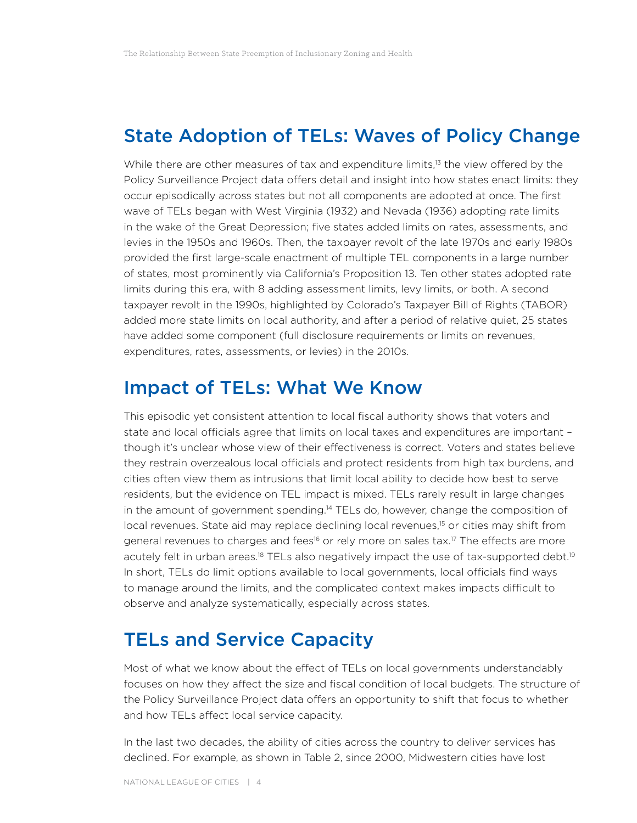#### State Adoption of TELs: Waves of Policy Change

While there are other measures of tax and expenditure limits,<sup>13</sup> the view offered by the Policy Surveillance Project data offers detail and insight into how states enact limits: they occur episodically across states but not all components are adopted at once. The first wave of TELs began with West Virginia (1932) and Nevada (1936) adopting rate limits in the wake of the Great Depression; five states added limits on rates, assessments, and levies in the 1950s and 1960s. Then, the taxpayer revolt of the late 1970s and early 1980s provided the first large-scale enactment of multiple TEL components in a large number of states, most prominently via California's Proposition 13. Ten other states adopted rate limits during this era, with 8 adding assessment limits, levy limits, or both. A second taxpayer revolt in the 1990s, highlighted by Colorado's Taxpayer Bill of Rights (TABOR) added more state limits on local authority, and after a period of relative quiet, 25 states have added some component (full disclosure requirements or limits on revenues, expenditures, rates, assessments, or levies) in the 2010s.

## Impact of TELs: What We Know

This episodic yet consistent attention to local fiscal authority shows that voters and state and local officials agree that limits on local taxes and expenditures are important – though it's unclear whose view of their effectiveness is correct. Voters and states believe they restrain overzealous local officials and protect residents from high tax burdens, and cities often view them as intrusions that limit local ability to decide how best to serve residents, but the evidence on TEL impact is mixed. TELs rarely result in large changes in the amount of government spending.14 TELs do, however, change the composition of local revenues. State aid may replace declining local revenues,<sup>15</sup> or cities may shift from general revenues to charges and fees<sup>16</sup> or rely more on sales tax.<sup>17</sup> The effects are more acutely felt in urban areas.<sup>18</sup> TELs also negatively impact the use of tax-supported debt.<sup>19</sup> In short, TELs do limit options available to local governments, local officials find ways to manage around the limits, and the complicated context makes impacts difficult to observe and analyze systematically, especially across states.

### TELs and Service Capacity

Most of what we know about the effect of TELs on local governments understandably focuses on how they affect the size and fiscal condition of local budgets. The structure of the Policy Surveillance Project data offers an opportunity to shift that focus to whether and how TELs affect local service capacity.

In the last two decades, the ability of cities across the country to deliver services has declined. For example, as shown in Table 2, since 2000, Midwestern cities have lost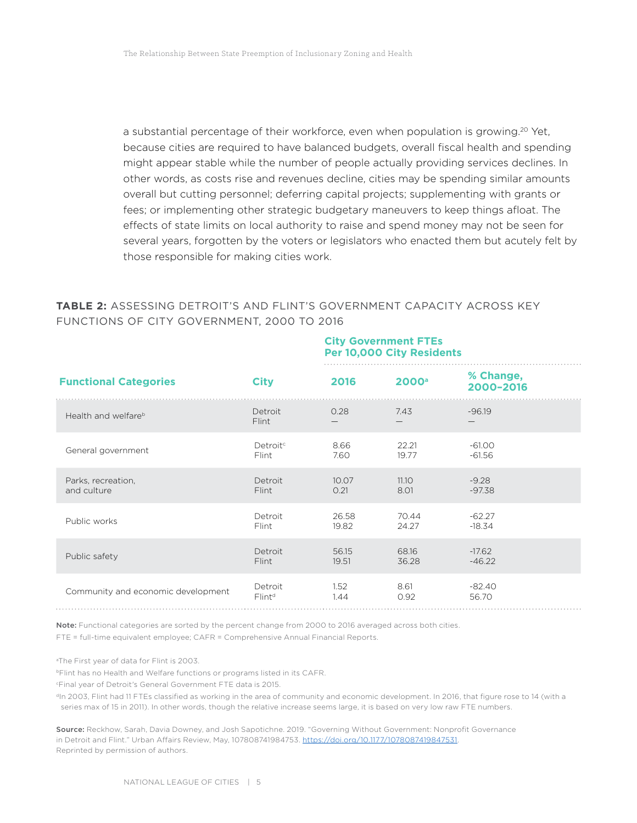a substantial percentage of their workforce, even when population is growing.<sup>20</sup> Yet, because cities are required to have balanced budgets, overall fiscal health and spending might appear stable while the number of people actually providing services declines. In other words, as costs rise and revenues decline, cities may be spending similar amounts overall but cutting personnel; deferring capital projects; supplementing with grants or fees; or implementing other strategic budgetary maneuvers to keep things afloat. The effects of state limits on local authority to raise and spend money may not be seen for several years, forgotten by the voters or legislators who enacted them but acutely felt by those responsible for making cities work.

#### **TABLE 2:** ASSESSING DETROIT'S AND FLINT'S GOVERNMENT CAPACITY ACROSS KEY FUNCTIONS OF CITY GOVERNMENT, 2000 TO 2016

#### **City Government FTEs Per 10,000 City Residents**

| <b>Functional Categories</b>       | <b>City</b>           | 2016  | 2000 <sup>a</sup> | % Change,<br>2000-2016 |
|------------------------------------|-----------------------|-------|-------------------|------------------------|
| Health and welfare <sup>b</sup>    | Detroit<br>Flint      | 0.28  | 7.43              | $-96.19$               |
| General government                 | Detroit <sup>c</sup>  | 8.66  | 22.21             | $-61.00$               |
|                                    | Flint                 | 7.60  | 19.77             | $-61.56$               |
| Parks, recreation,                 | Detroit               | 10.07 | 11.10             | $-9.28$                |
| and culture                        | Flint                 | 0.21  | 8.01              | $-97.38$               |
| Public works                       | Detroit               | 26.58 | 70.44             | $-62.27$               |
|                                    | Flint                 | 19.82 | 24.27             | $-18.34$               |
| Public safety                      | Detroit               | 56.15 | 68.16             | $-17.62$               |
|                                    | Flint                 | 19.51 | 36.28             | $-46.22$               |
| Community and economic development | Detroit               | 1.52  | 8.61              | $-82.40$               |
|                                    | $F$ lint <sup>d</sup> | 1.44  | 0.92              | 56.70                  |

Note: Functional categories are sorted by the percent change from 2000 to 2016 averaged across both cities.

FTE = full-time equivalent employee; CAFR = Comprehensive Annual Financial Reports.

a The First year of data for Flint is 2003.

*bFlint has no Health and Welfare functions or programs listed in its CAFR.* 

cFinal year of Detroit's General Government FTE data is 2015.

dIn 2003, Flint had 11 FTEs classified as working in the area of community and economic development. In 2016, that figure rose to 14 (with a series max of 15 in 2011). In other words, though the relative increase seems large, it is based on very low raw FTE numbers.

Source: Reckhow, Sarah, Davia Downey, and Josh Sapotichne. 2019. "Governing Without Government: Nonprofit Governance in Detroit and Flint." Urban Affairs Review, May, 107808741984753. [https://doi.org/10.1177/1078087419847531.](https://doi.org/10.1177/1078087419847531) Reprinted by permission of authors.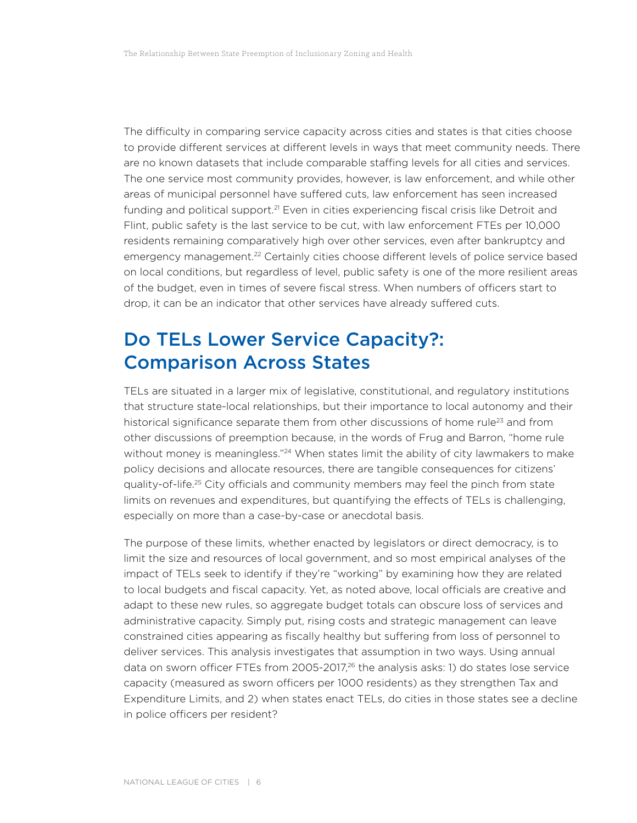The difficulty in comparing service capacity across cities and states is that cities choose to provide different services at different levels in ways that meet community needs. There are no known datasets that include comparable staffing levels for all cities and services. The one service most community provides, however, is law enforcement, and while other areas of municipal personnel have suffered cuts, law enforcement has seen increased funding and political support.<sup>21</sup> Even in cities experiencing fiscal crisis like Detroit and Flint, public safety is the last service to be cut, with law enforcement FTEs per 10,000 residents remaining comparatively high over other services, even after bankruptcy and emergency management.<sup>22</sup> Certainly cities choose different levels of police service based on local conditions, but regardless of level, public safety is one of the more resilient areas of the budget, even in times of severe fiscal stress. When numbers of officers start to drop, it can be an indicator that other services have already suffered cuts.

## Do TELs Lower Service Capacity?: Comparison Across States

TELs are situated in a larger mix of legislative, constitutional, and regulatory institutions that structure state-local relationships, but their importance to local autonomy and their historical significance separate them from other discussions of home rule<sup>23</sup> and from other discussions of preemption because, in the words of Frug and Barron, "home rule without money is meaningless."<sup>24</sup> When states limit the ability of city lawmakers to make policy decisions and allocate resources, there are tangible consequences for citizens' quality-of-life.25 City officials and community members may feel the pinch from state limits on revenues and expenditures, but quantifying the effects of TELs is challenging, especially on more than a case-by-case or anecdotal basis.

The purpose of these limits, whether enacted by legislators or direct democracy, is to limit the size and resources of local government, and so most empirical analyses of the impact of TELs seek to identify if they're "working" by examining how they are related to local budgets and fiscal capacity. Yet, as noted above, local officials are creative and adapt to these new rules, so aggregate budget totals can obscure loss of services and administrative capacity. Simply put, rising costs and strategic management can leave constrained cities appearing as fiscally healthy but suffering from loss of personnel to deliver services. This analysis investigates that assumption in two ways. Using annual data on sworn officer FTEs from 2005-2017,<sup>26</sup> the analysis asks: 1) do states lose service capacity (measured as sworn officers per 1000 residents) as they strengthen Tax and Expenditure Limits, and 2) when states enact TELs, do cities in those states see a decline in police officers per resident?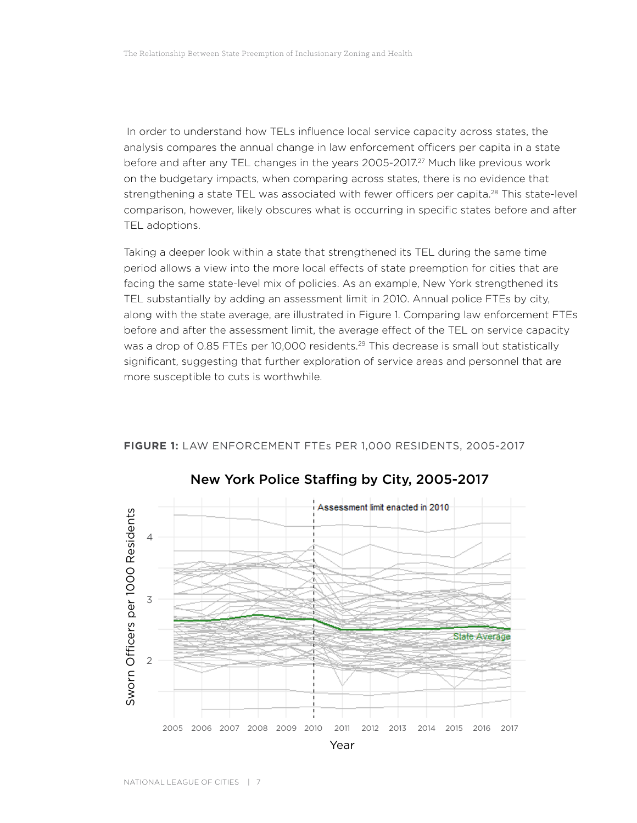In order to understand how TELs influence local service capacity across states, the analysis compares the annual change in law enforcement officers per capita in a state before and after any TEL changes in the years 2005-2017.<sup>27</sup> Much like previous work on the budgetary impacts, when comparing across states, there is no evidence that strengthening a state TEL was associated with fewer officers per capita.<sup>28</sup> This state-level comparison, however, likely obscures what is occurring in specific states before and after TEL adoptions.

Taking a deeper look within a state that strengthened its TEL during the same time period allows a view into the more local effects of state preemption for cities that are facing the same state-level mix of policies. As an example, New York strengthened its TEL substantially by adding an assessment limit in 2010. Annual police FTEs by city, along with the state average, are illustrated in Figure 1. Comparing law enforcement FTEs before and after the assessment limit, the average effect of the TEL on service capacity was a drop of 0.85 FTEs per 10,000 residents.<sup>29</sup> This decrease is small but statistically significant, suggesting that further exploration of service areas and personnel that are more susceptible to cuts is worthwhile.



**FIGURE 1:** LAW ENFORCEMENT FTEs PER 1,000 RESIDENTS, 2005-2017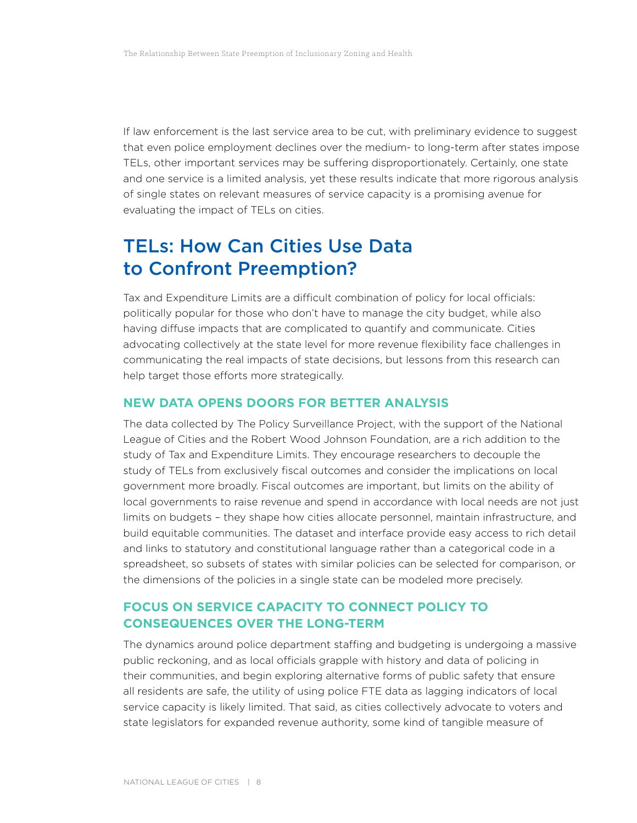If law enforcement is the last service area to be cut, with preliminary evidence to suggest that even police employment declines over the medium- to long-term after states impose TELs, other important services may be suffering disproportionately. Certainly, one state and one service is a limited analysis, yet these results indicate that more rigorous analysis of single states on relevant measures of service capacity is a promising avenue for evaluating the impact of TELs on cities.

## TELs: How Can Cities Use Data to Confront Preemption?

Tax and Expenditure Limits are a difficult combination of policy for local officials: politically popular for those who don't have to manage the city budget, while also having diffuse impacts that are complicated to quantify and communicate. Cities advocating collectively at the state level for more revenue flexibility face challenges in communicating the real impacts of state decisions, but lessons from this research can help target those efforts more strategically.

#### **NEW DATA OPENS DOORS FOR BETTER ANALYSIS**

The data collected by The Policy Surveillance Project, with the support of the National League of Cities and the Robert Wood Johnson Foundation, are a rich addition to the study of Tax and Expenditure Limits. They encourage researchers to decouple the study of TELs from exclusively fiscal outcomes and consider the implications on local government more broadly. Fiscal outcomes are important, but limits on the ability of local governments to raise revenue and spend in accordance with local needs are not just limits on budgets – they shape how cities allocate personnel, maintain infrastructure, and build equitable communities. The dataset and interface provide easy access to rich detail and links to statutory and constitutional language rather than a categorical code in a spreadsheet, so subsets of states with similar policies can be selected for comparison, or the dimensions of the policies in a single state can be modeled more precisely.

#### **FOCUS ON SERVICE CAPACITY TO CONNECT POLICY TO CONSEQUENCES OVER THE LONG-TERM**

The dynamics around police department staffing and budgeting is undergoing a massive public reckoning, and as local officials grapple with history and data of policing in their communities, and begin exploring alternative forms of public safety that ensure all residents are safe, the utility of using police FTE data as lagging indicators of local service capacity is likely limited. That said, as cities collectively advocate to voters and state legislators for expanded revenue authority, some kind of tangible measure of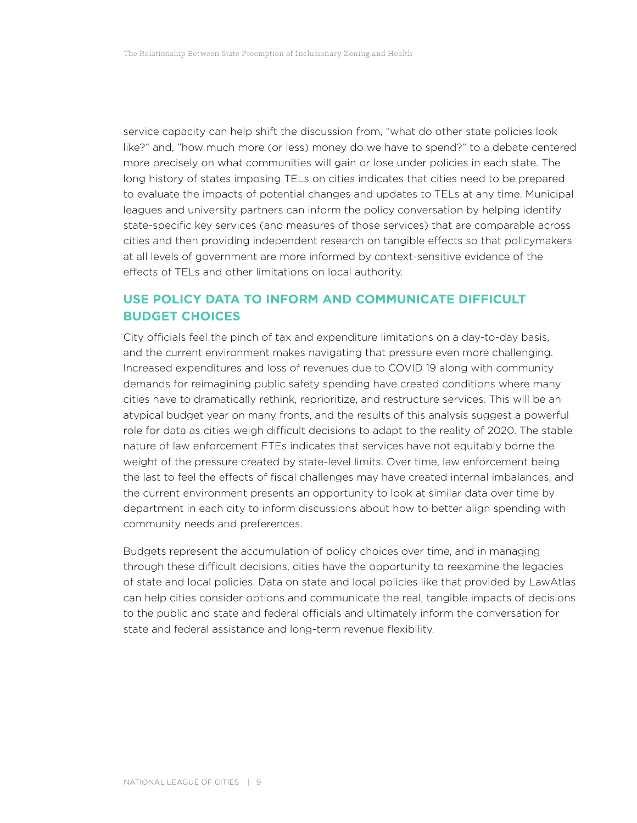service capacity can help shift the discussion from, "what do other state policies look like?" and, "how much more (or less) money do we have to spend?" to a debate centered more precisely on what communities will gain or lose under policies in each state. The long history of states imposing TELs on cities indicates that cities need to be prepared to evaluate the impacts of potential changes and updates to TELs at any time. Municipal leagues and university partners can inform the policy conversation by helping identify state-specific key services (and measures of those services) that are comparable across cities and then providing independent research on tangible effects so that policymakers at all levels of government are more informed by context-sensitive evidence of the effects of TELs and other limitations on local authority.

#### **USE POLICY DATA TO INFORM AND COMMUNICATE DIFFICULT BUDGET CHOICES**

City officials feel the pinch of tax and expenditure limitations on a day-to-day basis, and the current environment makes navigating that pressure even more challenging. Increased expenditures and loss of revenues due to COVID 19 along with community demands for reimagining public safety spending have created conditions where many cities have to dramatically rethink, reprioritize, and restructure services. This will be an atypical budget year on many fronts, and the results of this analysis suggest a powerful role for data as cities weigh difficult decisions to adapt to the reality of 2020. The stable nature of law enforcement FTEs indicates that services have not equitably borne the weight of the pressure created by state-level limits. Over time, law enforcement being the last to feel the effects of fiscal challenges may have created internal imbalances, and the current environment presents an opportunity to look at similar data over time by department in each city to inform discussions about how to better align spending with community needs and preferences.

Budgets represent the accumulation of policy choices over time, and in managing through these difficult decisions, cities have the opportunity to reexamine the legacies of state and local policies. Data on state and local policies like that provided by LawAtlas can help cities consider options and communicate the real, tangible impacts of decisions to the public and state and federal officials and ultimately inform the conversation for state and federal assistance and long-term revenue flexibility.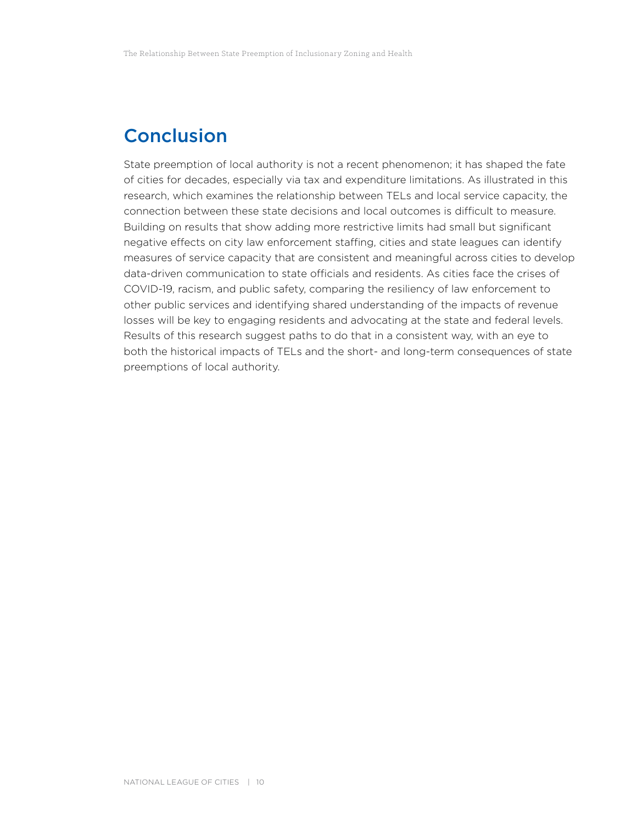## Conclusion

State preemption of local authority is not a recent phenomenon; it has shaped the fate of cities for decades, especially via tax and expenditure limitations. As illustrated in this research, which examines the relationship between TELs and local service capacity, the connection between these state decisions and local outcomes is difficult to measure. Building on results that show adding more restrictive limits had small but significant negative effects on city law enforcement staffing, cities and state leagues can identify measures of service capacity that are consistent and meaningful across cities to develop data-driven communication to state officials and residents. As cities face the crises of COVID-19, racism, and public safety, comparing the resiliency of law enforcement to other public services and identifying shared understanding of the impacts of revenue losses will be key to engaging residents and advocating at the state and federal levels. Results of this research suggest paths to do that in a consistent way, with an eye to both the historical impacts of TELs and the short- and long-term consequences of state preemptions of local authority.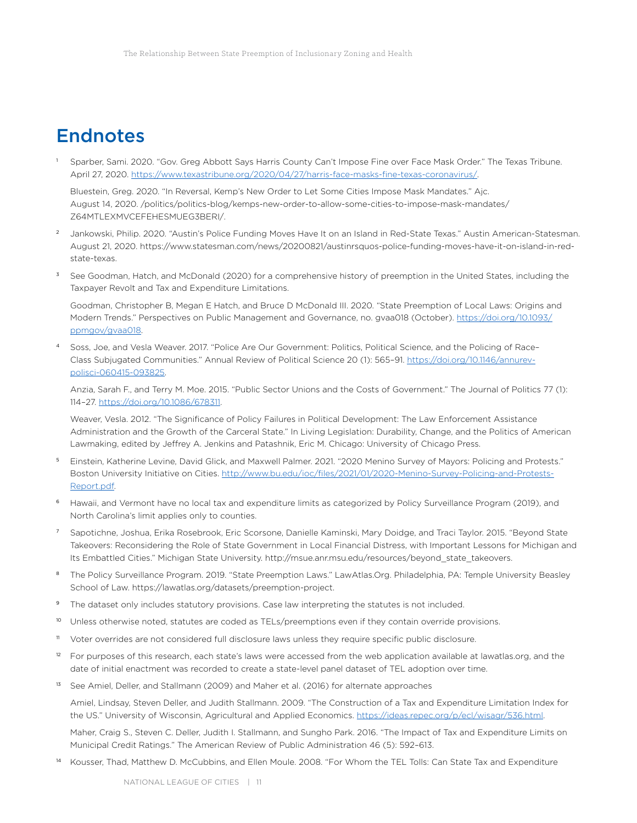## Endnotes

<sup>1</sup> Sparber, Sami. 2020. "Gov. Greg Abbott Says Harris County Can't Impose Fine over Face Mask Order." The Texas Tribune. April 27, 2020. [https://www.texastribune.org/2020/04/27/harris-face-masks-fine-texas-coronavirus/.](https://www.texastribune.org/2020/04/27/harris-face-masks-fine-texas-coronavirus/)

Bluestein, Greg. 2020. "In Reversal, Kemp's New Order to Let Some Cities Impose Mask Mandates." Ajc. August 14, 2020. /politics/politics-blog/kemps-new-order-to-allow-some-cities-to-impose-mask-mandates/ Z64MTLEXMVCEFEHESMUEG3BERI/.

- <sup>2</sup> Jankowski, Philip. 2020. "Austin's Police Funding Moves Have It on an Island in Red-State Texas." Austin American-Statesman. August 21, 2020. https://www.statesman.com/news/20200821/austinrsquos-police-funding-moves-have-it-on-island-in-redstate-texas.
- See Goodman, Hatch, and McDonald (2020) for a comprehensive history of preemption in the United States, including the Taxpayer Revolt and Tax and Expenditure Limitations.

Goodman, Christopher B, Megan E Hatch, and Bruce D McDonald III. 2020. "State Preemption of Local Laws: Origins and Modern Trends." Perspectives on Public Management and Governance, no. gvaa018 (October). [https://doi.org/10.1093/](https://doi.org/10.1093/ppmgov/gvaa018) [ppmgov/gvaa018.](https://doi.org/10.1093/ppmgov/gvaa018)

<sup>4</sup> Soss, Joe, and Vesla Weaver. 2017. "Police Are Our Government: Politics, Political Science, and the Policing of Race– Class Subjugated Communities." Annual Review of Political Science 20 (1): 565–91. [https://doi.org/10.1146/annurev](https://doi.org/10.1146/annurev-polisci-060415-093825)[polisci-060415-093825](https://doi.org/10.1146/annurev-polisci-060415-093825).

Anzia, Sarah F., and Terry M. Moe. 2015. "Public Sector Unions and the Costs of Government." The Journal of Politics 77 (1): 114–27. [https://doi.org/10.1086/678311.](https://doi.org/10.1086/678311)

Weaver, Vesla. 2012. "The Significance of Policy Failures in Political Development: The Law Enforcement Assistance Administration and the Growth of the Carceral State." In Living Legislation: Durability, Change, and the Politics of American Lawmaking, edited by Jeffrey A. Jenkins and Patashnik, Eric M. Chicago: University of Chicago Press.

- <sup>5</sup> Einstein, Katherine Levine, David Glick, and Maxwell Palmer. 2021. "2020 Menino Survey of Mayors: Policing and Protests." Boston University Initiative on Cities. [http://www.bu.edu/ioc/files/2021/01/2020-Menino-Survey-Policing-and-Protests-](http://www.bu.edu/ioc/files/2021/01/2020-Menino-Survey-Policing-and-Protests-Report.pdf)[Report.pdf.](http://www.bu.edu/ioc/files/2021/01/2020-Menino-Survey-Policing-and-Protests-Report.pdf)
- <sup>6</sup> Hawaii, and Vermont have no local tax and expenditure limits as categorized by Policy Surveillance Program (2019), and North Carolina's limit applies only to counties.
- <sup>7</sup> Sapotichne, Joshua, Erika Rosebrook, Eric Scorsone, Danielle Kaminski, Mary Doidge, and Traci Taylor. 2015. "Beyond State Takeovers: Reconsidering the Role of State Government in Local Financial Distress, with Important Lessons for Michigan and Its Embattled Cities." Michigan State University. http://msue.anr.msu.edu/resources/beyond\_state\_takeovers.
- 8 The Policy Surveillance Program. 2019. "State Preemption Laws." LawAtlas.Org. Philadelphia, PA: Temple University Beasley School of Law. https://lawatlas.org/datasets/preemption-project.
- The dataset only includes statutory provisions. Case law interpreting the statutes is not included.
- <sup>10</sup> Unless otherwise noted, statutes are coded as TELs/preemptions even if they contain override provisions.
- <sup>11</sup> Voter overrides are not considered full disclosure laws unless they require specific public disclosure.
- <sup>12</sup> For purposes of this research, each state's laws were accessed from the web application available at lawatlas.org, and the date of initial enactment was recorded to create a state-level panel dataset of TEL adoption over time.
- <sup>13</sup> See Amiel, Deller, and Stallmann (2009) and Maher et al. (2016) for alternate approaches

Amiel, Lindsay, Steven Deller, and Judith Stallmann. 2009. "The Construction of a Tax and Expenditure Limitation Index for the US." University of Wisconsin, Agricultural and Applied Economics. <https://ideas.repec.org/p/ecl/wisagr/536.html>.

Maher, Craig S., Steven C. Deller, Judith I. Stallmann, and Sungho Park. 2016. "The Impact of Tax and Expenditure Limits on Municipal Credit Ratings." The American Review of Public Administration 46 (5): 592–613.

Kousser, Thad, Matthew D. McCubbins, and Ellen Moule. 2008. "For Whom the TEL Tolls: Can State Tax and Expenditure